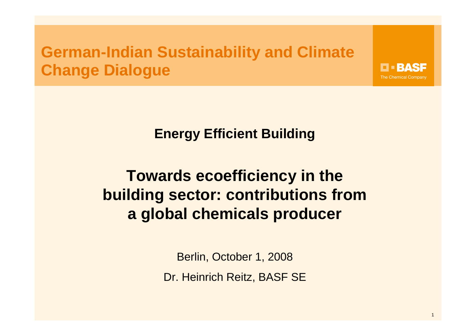### **German-Indian Sustainability and Climate Change Dialogue**

**Energy Efficient Building** 

# **Towards ecoefficiency in the building sector: contributions froma global chemicals producer**

Berlin, October 1, 2008 Dr. Heinrich Reitz, BASF SE **EEBASE The Chemical Company**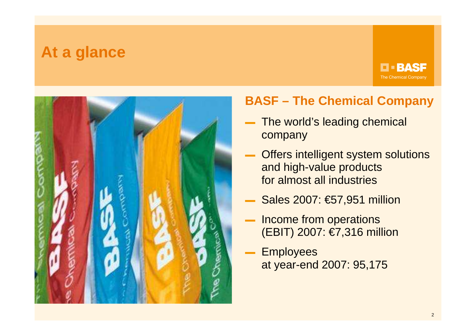#### **At a glance**

**D-BASF The Chemical Company** 



#### **BASF – The Chemical Company**

- The world's leading chemical company
- Offers intelligent system solutions and high-value productsfor almost all industries
- Sales 2007: €57,951 million
- Income from operations (EBIT) 2007: €7,316 million
- **Employees** at year-end 2007: 95,175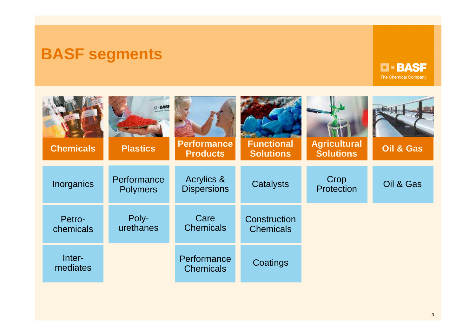### **BASF segments**

# **D-BASF**

| <b>Chemicals</b>    | $\Box$ - BASF<br><b>Plastics</b> | <b>Performance</b><br><b>Products</b> | <b>Functional</b><br><b>Solutions</b> | <b>Agricultural</b><br><b>Solutions</b> | <b>Oil &amp; Gas</b> |
|---------------------|----------------------------------|---------------------------------------|---------------------------------------|-----------------------------------------|----------------------|
| Inorganics          | Performance<br><b>Polymers</b>   | Acrylics &<br><b>Dispersions</b>      | <b>Catalysts</b>                      | Crop<br>Protection                      | Oil & Gas            |
| Petro-<br>chemicals | Poly-<br>urethanes               | Care<br><b>Chemicals</b>              | Construction<br><b>Chemicals</b>      |                                         |                      |
| Inter-<br>mediates  |                                  | Performance<br><b>Chemicals</b>       | Coatings                              |                                         |                      |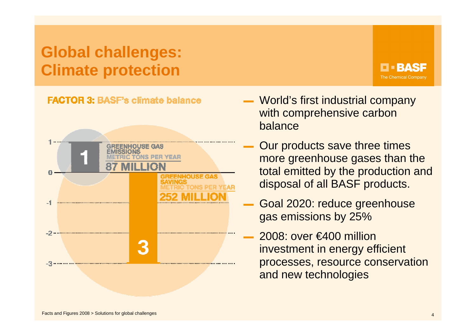## **Global challenges:Climate protection**

#### **EEBASE The Chemical Company**

#### **FACTOR 3: BASF's climate balance**



- World's first industrial company with comprehensive carbon balance
- Our products save three times more greenhouse gases than the total emitted by the production and disposal of all BASF products.
- ▬ Goal 2020: reduce greenhouse gas emissions by 25%
	- 2008: over €400 million investment in energy efficient processes, resource conservation and new technologies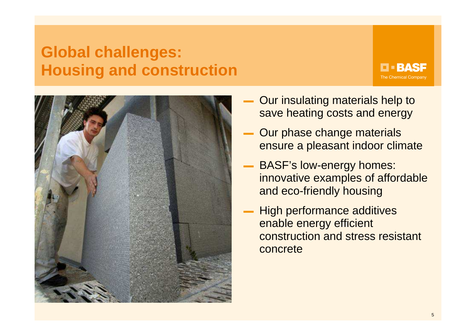### **Global challenges:Housing and construction**

**D-BASF The Chemical Company** 



- Our insulating materials help to save heating costs and energy
- ▬ Our phase change materials ensure a pleasant indoor climate
- ▬ BASF's low-energy homes: innovative examples of affordable and eco-friendly housing
- ▬ High performance additives enable energy efficient construction and stress resistant concrete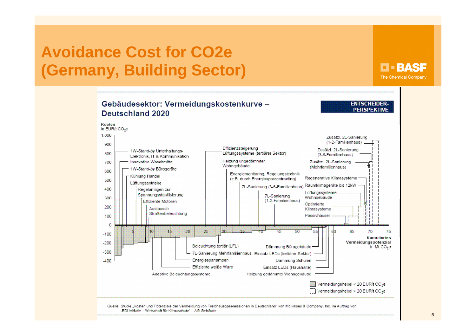## **Avoidance Cost for CO2e(Germany, Building Sector)**

#### **D-BASF The Chemical Company**



"BDI initiativ - Wirtschaft für Klimaschutz" - AG Gebäude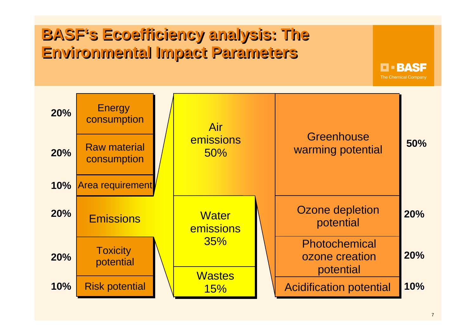# **BASF's Ecoefficiency analysis: TheEnvironmental Impact Parameters**



**D-BASF** The Chemical Company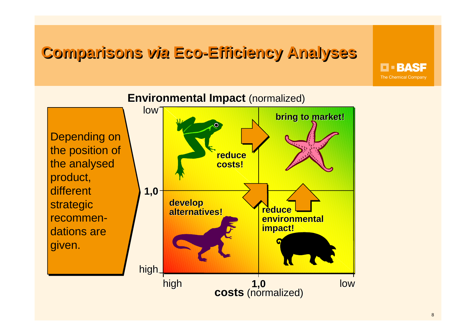# **Comparisons via Eco-Efficiency Analyses**

**D-BASF The Chemical Company** 



**Environmental Impact** (normalized)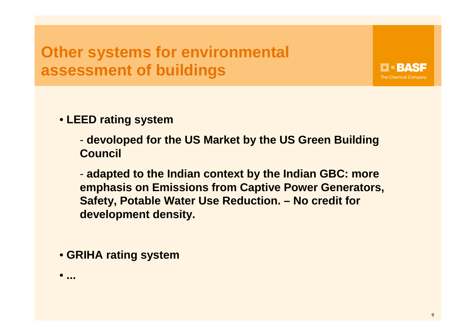# **Other systems for environmental assessment of buildings**

• **LEED rating system**

 **devoloped for the US Market by the US Green Building Council**

 **adapted to the Indian context by the Indian GBC: more emphasis on Emissions from Captive Power Generators, Safety, Potable Water Use Reduction. – No credit fordevelopment density.**

• **GRIHA rating system**

•**...** 

**FEBASE The Chemical Company**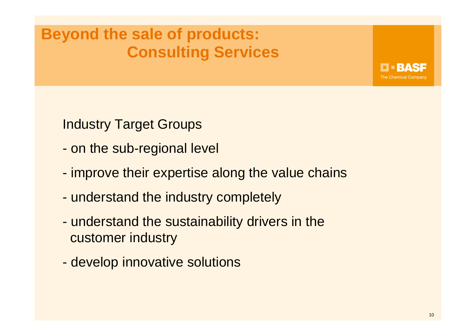# **Beyond the sale of products:Consulting Services**

EEBAS: **The Chemical Company** 

Industry Target Groups

- on the sub-regional level
- improve their expertise along the value chains
- understand the industry completely
- understand the sustainability drivers in thecustomer industry
- develop innovative solutions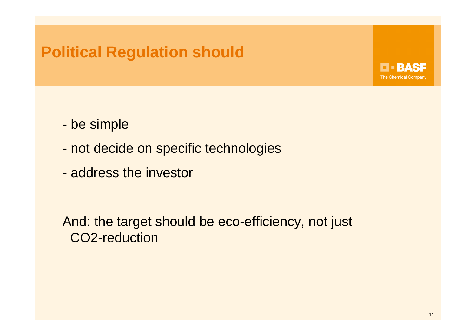### **Political Regulation should**



- be simple
- not decide on specific technologies
- address the investor

And: the target should be eco-efficiency, not just CO2-reduction